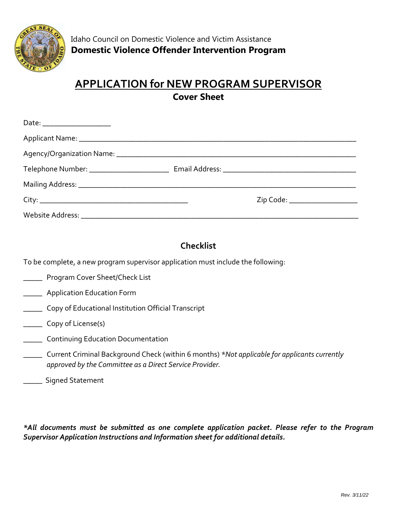

### **APPLICATION for NEW PROGRAM SUPERVISOR Cover Sheet**

|  | Zip Code: _______________________ |
|--|-----------------------------------|
|  |                                   |

### **Checklist**

To be complete, a new program supervisor application must include the following:

- \_\_\_\_\_ Program Cover Sheet/Check List
- **\_\_\_\_** Application Education Form
- **Copy of Educational Institution Official Transcript**
- \_\_\_\_\_ Copy of License(s)
- **EXECO** Continuing Education Documentation
- \_\_\_\_\_ Current Criminal Background Check (within 6 months) *\*Not applicable for applicants currently approved by the Committee as a Direct Service Provider.*
- \_\_\_\_\_ Signed Statement

*\*All documents must be submitted as one complete application packet. Please refer to the Program Supervisor Application Instructions and Information sheet for additional details.*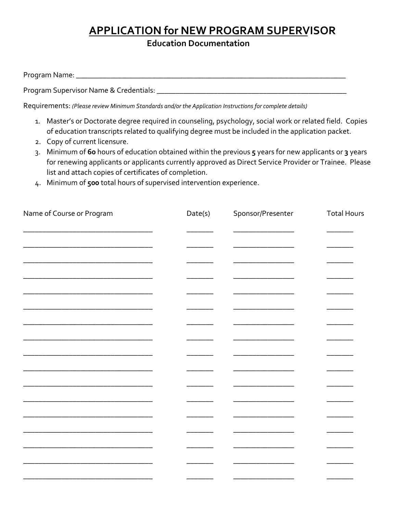# **APPLICATION for NEW PROGRAM SUPERVISOR**

**Education Documentation** 

| Program Name: |  |  |  |
|---------------|--|--|--|
|               |  |  |  |

Program Supervisor Name & Credentials: \_\_\_\_\_\_\_\_\_\_\_\_\_\_\_\_\_\_\_\_\_\_\_\_\_\_\_\_\_\_\_\_\_\_\_\_\_\_\_\_\_\_\_\_\_\_\_\_\_\_

Requirements: *(Please review Minimum Standards and/or the Application Instructions for complete details)*

- 1. Master's or Doctorate degree required in counseling, psychology, social work or related field. Copies of education transcripts related to qualifying degree must be included in the application packet.
- 2. Copy of current licensure.
- 3. Minimum of **60** hours of education obtained within the previous **5** years for new applicants or **3** years for renewing applicants or applicants currently approved as Direct Service Provider or Trainee. Please list and attach copies of certificates of completion.
- 4. Minimum of **500** total hours of supervised intervention experience.

| Name of Course or Program | Date(s) | Sponsor/Presenter | <b>Total Hours</b> |
|---------------------------|---------|-------------------|--------------------|
|                           |         |                   |                    |
|                           |         |                   |                    |
|                           |         |                   |                    |
|                           |         |                   |                    |
|                           |         |                   |                    |
|                           |         |                   |                    |
|                           |         |                   |                    |
|                           |         |                   |                    |
|                           |         |                   |                    |
|                           |         |                   |                    |
|                           |         |                   |                    |
|                           |         |                   |                    |
|                           |         |                   |                    |
|                           |         |                   |                    |
|                           |         |                   |                    |
|                           |         |                   |                    |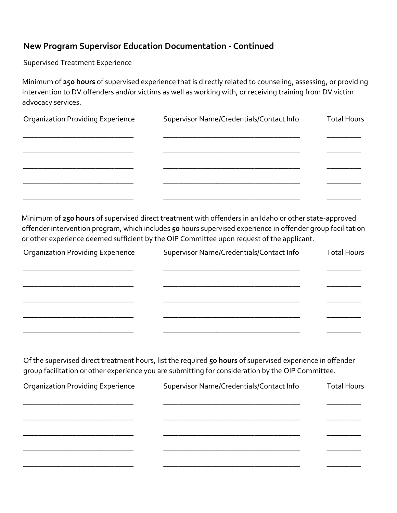#### **New Program Supervisor Education Documentation - Continued**

Supervised Treatment Experience

Minimum of **250 hours** of supervised experience that is directly related to counseling, assessing, or providing intervention to DV offenders and/or victims as well as working with, or receiving training from DV victim advocacy services.

| <b>Organization Providing Experience</b> | Supervisor Name/Credentials/Contact Info | <b>Total Hours</b> |
|------------------------------------------|------------------------------------------|--------------------|
|                                          |                                          |                    |
|                                          |                                          |                    |
|                                          |                                          |                    |
|                                          |                                          |                    |
|                                          |                                          |                    |

Minimum of **250 hours** of supervised direct treatment with offenders in an Idaho or other state-approved offender intervention program, which includes **50** hours supervised experience in offender group facilitation or other experience deemed sufficient by the OIP Committee upon request of the applicant.

| <b>Organization Providing Experience</b> | Supervisor Name/Credentials/Contact Info | <b>Total Hours</b> |  |
|------------------------------------------|------------------------------------------|--------------------|--|
|                                          |                                          |                    |  |
|                                          |                                          |                    |  |
|                                          |                                          |                    |  |
|                                          |                                          |                    |  |
|                                          |                                          |                    |  |

Of the supervised direct treatment hours, list the required **50 hours** of supervised experience in offender group facilitation or other experience you are submitting for consideration by the OIP Committee.

| <b>Organization Providing Experience</b> | Supervisor Name/Credentials/Contact Info | <b>Total Hours</b> |
|------------------------------------------|------------------------------------------|--------------------|
|                                          |                                          |                    |
|                                          |                                          |                    |
|                                          |                                          |                    |
|                                          |                                          |                    |